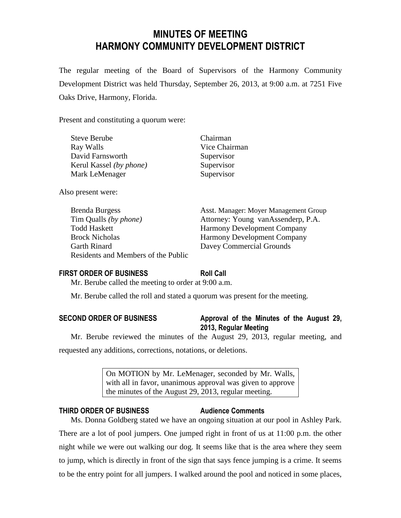# **MINUTES OF MEETING HARMONY COMMUNITY DEVELOPMENT DISTRICT**

The regular meeting of the Board of Supervisors of the Harmony Community Development District was held Thursday, September 26, 2013, at 9:00 a.m. at 7251 Five Oaks Drive, Harmony, Florida.

Present and constituting a quorum were:

| <b>Steve Berube</b>     | Chairman      |
|-------------------------|---------------|
| Ray Walls               | Vice Chairman |
| David Farnsworth        | Supervisor    |
| Kerul Kassel (by phone) | Supervisor    |
| Mark LeMenager          | Supervisor    |
|                         |               |

Also present were:

Tim Qualls *(by phone)* Attorney: Young vanAssenderp, P.A. Todd Haskett Harmony Development Company Brock Nicholas Harmony Development Company Garth Rinard Davey Commercial Grounds Residents and Members of the Public

Brenda Burgess **Asst. Manager: Moyer Management Group** 

# **FIRST ORDER OF BUSINESS Roll Call**

Mr. Berube called the meeting to order at 9:00 a.m.

Mr. Berube called the roll and stated a quorum was present for the meeting.

| <b>SECOND ORDER OF BUSINESS</b> |  |
|---------------------------------|--|
|---------------------------------|--|

**SECOND ORDER OF BUSINESS Approval of the Minutes of the August 29, 2013, Regular Meeting**

Mr. Berube reviewed the minutes of the August 29, 2013, regular meeting, and requested any additions, corrections, notations, or deletions.

> On MOTION by Mr. LeMenager, seconded by Mr. Walls, with all in favor, unanimous approval was given to approve the minutes of the August 29, 2013, regular meeting.

# **THIRD ORDER OF BUSINESS Audience Comments**

Ms. Donna Goldberg stated we have an ongoing situation at our pool in Ashley Park.

There are a lot of pool jumpers. One jumped right in front of us at 11:00 p.m. the other night while we were out walking our dog. It seems like that is the area where they seem to jump, which is directly in front of the sign that says fence jumping is a crime. It seems to be the entry point for all jumpers. I walked around the pool and noticed in some places,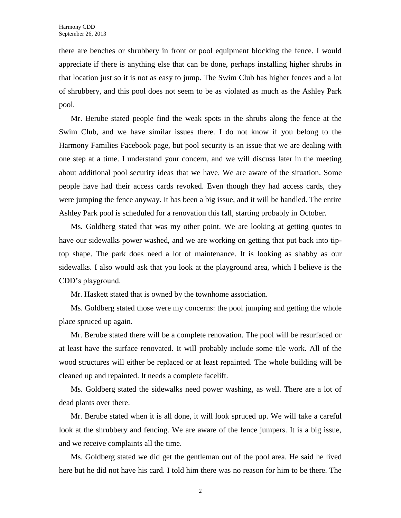there are benches or shrubbery in front or pool equipment blocking the fence. I would appreciate if there is anything else that can be done, perhaps installing higher shrubs in that location just so it is not as easy to jump. The Swim Club has higher fences and a lot of shrubbery, and this pool does not seem to be as violated as much as the Ashley Park pool.

Mr. Berube stated people find the weak spots in the shrubs along the fence at the Swim Club, and we have similar issues there. I do not know if you belong to the Harmony Families Facebook page, but pool security is an issue that we are dealing with one step at a time. I understand your concern, and we will discuss later in the meeting about additional pool security ideas that we have. We are aware of the situation. Some people have had their access cards revoked. Even though they had access cards, they were jumping the fence anyway. It has been a big issue, and it will be handled. The entire Ashley Park pool is scheduled for a renovation this fall, starting probably in October.

Ms. Goldberg stated that was my other point. We are looking at getting quotes to have our sidewalks power washed, and we are working on getting that put back into tiptop shape. The park does need a lot of maintenance. It is looking as shabby as our sidewalks. I also would ask that you look at the playground area, which I believe is the CDD's playground.

Mr. Haskett stated that is owned by the townhome association.

Ms. Goldberg stated those were my concerns: the pool jumping and getting the whole place spruced up again.

Mr. Berube stated there will be a complete renovation. The pool will be resurfaced or at least have the surface renovated. It will probably include some tile work. All of the wood structures will either be replaced or at least repainted. The whole building will be cleaned up and repainted. It needs a complete facelift.

Ms. Goldberg stated the sidewalks need power washing, as well. There are a lot of dead plants over there.

Mr. Berube stated when it is all done, it will look spruced up. We will take a careful look at the shrubbery and fencing. We are aware of the fence jumpers. It is a big issue, and we receive complaints all the time.

Ms. Goldberg stated we did get the gentleman out of the pool area. He said he lived here but he did not have his card. I told him there was no reason for him to be there. The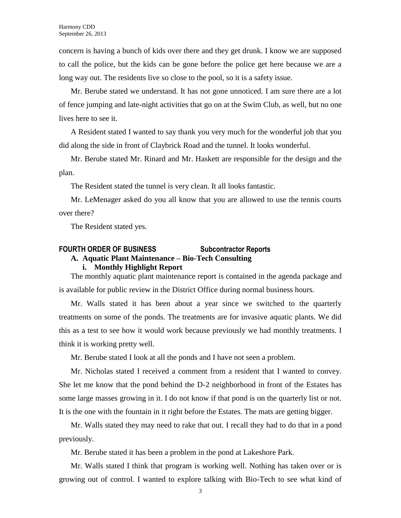concern is having a bunch of kids over there and they get drunk. I know we are supposed to call the police, but the kids can be gone before the police get here because we are a long way out. The residents live so close to the pool, so it is a safety issue.

Mr. Berube stated we understand. It has not gone unnoticed. I am sure there are a lot of fence jumping and late-night activities that go on at the Swim Club, as well, but no one lives here to see it.

A Resident stated I wanted to say thank you very much for the wonderful job that you did along the side in front of Claybrick Road and the tunnel. It looks wonderful.

Mr. Berube stated Mr. Rinard and Mr. Haskett are responsible for the design and the plan.

The Resident stated the tunnel is very clean. It all looks fantastic.

Mr. LeMenager asked do you all know that you are allowed to use the tennis courts over there?

The Resident stated yes.

# **FOURTH ORDER OF BUSINESS Subcontractor Reports A. Aquatic Plant Maintenance – Bio-Tech Consulting i. Monthly Highlight Report**

The monthly aquatic plant maintenance report is contained in the agenda package and is available for public review in the District Office during normal business hours.

Mr. Walls stated it has been about a year since we switched to the quarterly treatments on some of the ponds. The treatments are for invasive aquatic plants. We did this as a test to see how it would work because previously we had monthly treatments. I think it is working pretty well.

Mr. Berube stated I look at all the ponds and I have not seen a problem.

Mr. Nicholas stated I received a comment from a resident that I wanted to convey. She let me know that the pond behind the D-2 neighborhood in front of the Estates has some large masses growing in it. I do not know if that pond is on the quarterly list or not. It is the one with the fountain in it right before the Estates. The mats are getting bigger.

Mr. Walls stated they may need to rake that out. I recall they had to do that in a pond previously.

Mr. Berube stated it has been a problem in the pond at Lakeshore Park.

Mr. Walls stated I think that program is working well. Nothing has taken over or is growing out of control. I wanted to explore talking with Bio-Tech to see what kind of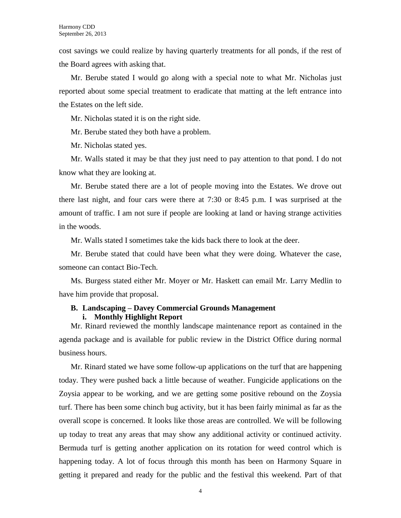cost savings we could realize by having quarterly treatments for all ponds, if the rest of the Board agrees with asking that.

Mr. Berube stated I would go along with a special note to what Mr. Nicholas just reported about some special treatment to eradicate that matting at the left entrance into the Estates on the left side.

Mr. Nicholas stated it is on the right side.

Mr. Berube stated they both have a problem.

Mr. Nicholas stated yes.

Mr. Walls stated it may be that they just need to pay attention to that pond. I do not know what they are looking at.

Mr. Berube stated there are a lot of people moving into the Estates. We drove out there last night, and four cars were there at 7:30 or 8:45 p.m. I was surprised at the amount of traffic. I am not sure if people are looking at land or having strange activities in the woods.

Mr. Walls stated I sometimes take the kids back there to look at the deer.

Mr. Berube stated that could have been what they were doing. Whatever the case, someone can contact Bio-Tech.

Ms. Burgess stated either Mr. Moyer or Mr. Haskett can email Mr. Larry Medlin to have him provide that proposal.

# **B. Landscaping – Davey Commercial Grounds Management i. Monthly Highlight Report**

Mr. Rinard reviewed the monthly landscape maintenance report as contained in the agenda package and is available for public review in the District Office during normal business hours.

Mr. Rinard stated we have some follow-up applications on the turf that are happening today. They were pushed back a little because of weather. Fungicide applications on the Zoysia appear to be working, and we are getting some positive rebound on the Zoysia turf. There has been some chinch bug activity, but it has been fairly minimal as far as the overall scope is concerned. It looks like those areas are controlled. We will be following up today to treat any areas that may show any additional activity or continued activity. Bermuda turf is getting another application on its rotation for weed control which is happening today. A lot of focus through this month has been on Harmony Square in getting it prepared and ready for the public and the festival this weekend. Part of that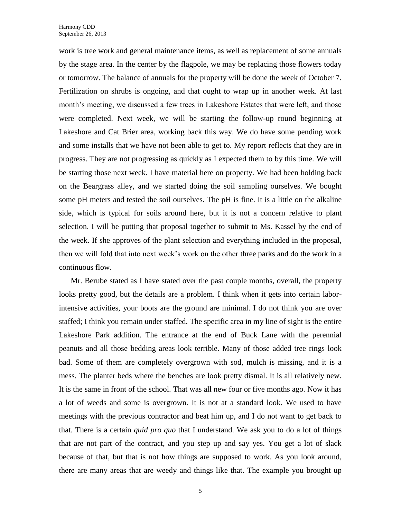work is tree work and general maintenance items, as well as replacement of some annuals by the stage area. In the center by the flagpole, we may be replacing those flowers today or tomorrow. The balance of annuals for the property will be done the week of October 7. Fertilization on shrubs is ongoing, and that ought to wrap up in another week. At last month's meeting, we discussed a few trees in Lakeshore Estates that were left, and those were completed. Next week, we will be starting the follow-up round beginning at Lakeshore and Cat Brier area, working back this way. We do have some pending work and some installs that we have not been able to get to. My report reflects that they are in progress. They are not progressing as quickly as I expected them to by this time. We will be starting those next week. I have material here on property. We had been holding back on the Beargrass alley, and we started doing the soil sampling ourselves. We bought some pH meters and tested the soil ourselves. The pH is fine. It is a little on the alkaline side, which is typical for soils around here, but it is not a concern relative to plant selection. I will be putting that proposal together to submit to Ms. Kassel by the end of the week. If she approves of the plant selection and everything included in the proposal, then we will fold that into next week's work on the other three parks and do the work in a continuous flow.

Mr. Berube stated as I have stated over the past couple months, overall, the property looks pretty good, but the details are a problem. I think when it gets into certain laborintensive activities, your boots are the ground are minimal. I do not think you are over staffed; I think you remain under staffed. The specific area in my line of sight is the entire Lakeshore Park addition. The entrance at the end of Buck Lane with the perennial peanuts and all those bedding areas look terrible. Many of those added tree rings look bad. Some of them are completely overgrown with sod, mulch is missing, and it is a mess. The planter beds where the benches are look pretty dismal. It is all relatively new. It is the same in front of the school. That was all new four or five months ago. Now it has a lot of weeds and some is overgrown. It is not at a standard look. We used to have meetings with the previous contractor and beat him up, and I do not want to get back to that. There is a certain *quid pro quo* that I understand. We ask you to do a lot of things that are not part of the contract, and you step up and say yes. You get a lot of slack because of that, but that is not how things are supposed to work. As you look around, there are many areas that are weedy and things like that. The example you brought up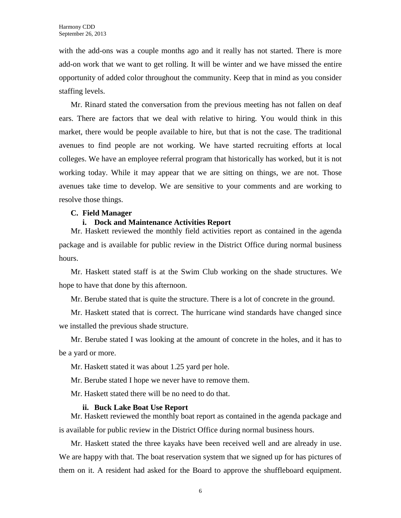with the add-ons was a couple months ago and it really has not started. There is more add-on work that we want to get rolling. It will be winter and we have missed the entire opportunity of added color throughout the community. Keep that in mind as you consider staffing levels.

Mr. Rinard stated the conversation from the previous meeting has not fallen on deaf ears. There are factors that we deal with relative to hiring. You would think in this market, there would be people available to hire, but that is not the case. The traditional avenues to find people are not working. We have started recruiting efforts at local colleges. We have an employee referral program that historically has worked, but it is not working today. While it may appear that we are sitting on things, we are not. Those avenues take time to develop. We are sensitive to your comments and are working to resolve those things.

# **C. Field Manager**

# **i. Dock and Maintenance Activities Report**

Mr. Haskett reviewed the monthly field activities report as contained in the agenda package and is available for public review in the District Office during normal business hours.

Mr. Haskett stated staff is at the Swim Club working on the shade structures. We hope to have that done by this afternoon.

Mr. Berube stated that is quite the structure. There is a lot of concrete in the ground.

Mr. Haskett stated that is correct. The hurricane wind standards have changed since we installed the previous shade structure.

Mr. Berube stated I was looking at the amount of concrete in the holes, and it has to be a yard or more.

Mr. Haskett stated it was about 1.25 yard per hole.

Mr. Berube stated I hope we never have to remove them.

Mr. Haskett stated there will be no need to do that.

### **ii. Buck Lake Boat Use Report**

Mr. Haskett reviewed the monthly boat report as contained in the agenda package and is available for public review in the District Office during normal business hours.

Mr. Haskett stated the three kayaks have been received well and are already in use. We are happy with that. The boat reservation system that we signed up for has pictures of them on it. A resident had asked for the Board to approve the shuffleboard equipment.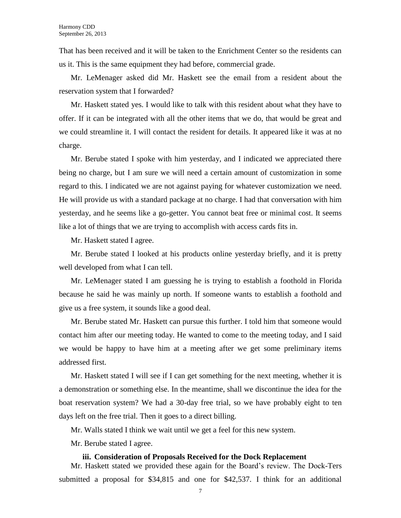That has been received and it will be taken to the Enrichment Center so the residents can us it. This is the same equipment they had before, commercial grade.

Mr. LeMenager asked did Mr. Haskett see the email from a resident about the reservation system that I forwarded?

Mr. Haskett stated yes. I would like to talk with this resident about what they have to offer. If it can be integrated with all the other items that we do, that would be great and we could streamline it. I will contact the resident for details. It appeared like it was at no charge.

Mr. Berube stated I spoke with him yesterday, and I indicated we appreciated there being no charge, but I am sure we will need a certain amount of customization in some regard to this. I indicated we are not against paying for whatever customization we need. He will provide us with a standard package at no charge. I had that conversation with him yesterday, and he seems like a go-getter. You cannot beat free or minimal cost. It seems like a lot of things that we are trying to accomplish with access cards fits in.

Mr. Haskett stated I agree.

Mr. Berube stated I looked at his products online yesterday briefly, and it is pretty well developed from what I can tell.

Mr. LeMenager stated I am guessing he is trying to establish a foothold in Florida because he said he was mainly up north. If someone wants to establish a foothold and give us a free system, it sounds like a good deal.

Mr. Berube stated Mr. Haskett can pursue this further. I told him that someone would contact him after our meeting today. He wanted to come to the meeting today, and I said we would be happy to have him at a meeting after we get some preliminary items addressed first.

Mr. Haskett stated I will see if I can get something for the next meeting, whether it is a demonstration or something else. In the meantime, shall we discontinue the idea for the boat reservation system? We had a 30-day free trial, so we have probably eight to ten days left on the free trial. Then it goes to a direct billing.

Mr. Walls stated I think we wait until we get a feel for this new system.

Mr. Berube stated I agree.

### **iii. Consideration of Proposals Received for the Dock Replacement**

Mr. Haskett stated we provided these again for the Board's review. The Dock-Ters submitted a proposal for \$34,815 and one for \$42,537. I think for an additional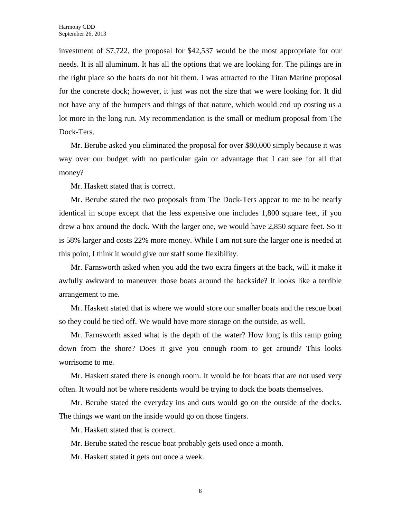investment of \$7,722, the proposal for \$42,537 would be the most appropriate for our needs. It is all aluminum. It has all the options that we are looking for. The pilings are in the right place so the boats do not hit them. I was attracted to the Titan Marine proposal for the concrete dock; however, it just was not the size that we were looking for. It did not have any of the bumpers and things of that nature, which would end up costing us a lot more in the long run. My recommendation is the small or medium proposal from The Dock-Ters.

Mr. Berube asked you eliminated the proposal for over \$80,000 simply because it was way over our budget with no particular gain or advantage that I can see for all that money?

Mr. Haskett stated that is correct.

Mr. Berube stated the two proposals from The Dock-Ters appear to me to be nearly identical in scope except that the less expensive one includes 1,800 square feet, if you drew a box around the dock. With the larger one, we would have 2,850 square feet. So it is 58% larger and costs 22% more money. While I am not sure the larger one is needed at this point, I think it would give our staff some flexibility.

Mr. Farnsworth asked when you add the two extra fingers at the back, will it make it awfully awkward to maneuver those boats around the backside? It looks like a terrible arrangement to me.

Mr. Haskett stated that is where we would store our smaller boats and the rescue boat so they could be tied off. We would have more storage on the outside, as well.

Mr. Farnsworth asked what is the depth of the water? How long is this ramp going down from the shore? Does it give you enough room to get around? This looks worrisome to me.

Mr. Haskett stated there is enough room. It would be for boats that are not used very often. It would not be where residents would be trying to dock the boats themselves.

Mr. Berube stated the everyday ins and outs would go on the outside of the docks. The things we want on the inside would go on those fingers.

Mr. Haskett stated that is correct.

Mr. Berube stated the rescue boat probably gets used once a month.

Mr. Haskett stated it gets out once a week.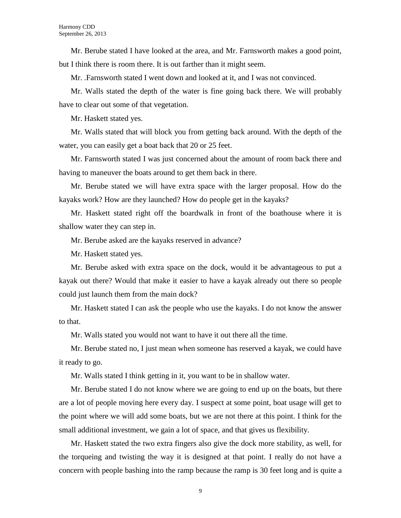Mr. Berube stated I have looked at the area, and Mr. Farnsworth makes a good point, but I think there is room there. It is out farther than it might seem.

Mr. .Farnsworth stated I went down and looked at it, and I was not convinced.

Mr. Walls stated the depth of the water is fine going back there. We will probably have to clear out some of that vegetation.

Mr. Haskett stated yes.

Mr. Walls stated that will block you from getting back around. With the depth of the water, you can easily get a boat back that 20 or 25 feet.

Mr. Farnsworth stated I was just concerned about the amount of room back there and having to maneuver the boats around to get them back in there.

Mr. Berube stated we will have extra space with the larger proposal. How do the kayaks work? How are they launched? How do people get in the kayaks?

Mr. Haskett stated right off the boardwalk in front of the boathouse where it is shallow water they can step in.

Mr. Berube asked are the kayaks reserved in advance?

Mr. Haskett stated yes.

Mr. Berube asked with extra space on the dock, would it be advantageous to put a kayak out there? Would that make it easier to have a kayak already out there so people could just launch them from the main dock?

Mr. Haskett stated I can ask the people who use the kayaks. I do not know the answer to that.

Mr. Walls stated you would not want to have it out there all the time.

Mr. Berube stated no, I just mean when someone has reserved a kayak, we could have it ready to go.

Mr. Walls stated I think getting in it, you want to be in shallow water.

Mr. Berube stated I do not know where we are going to end up on the boats, but there are a lot of people moving here every day. I suspect at some point, boat usage will get to the point where we will add some boats, but we are not there at this point. I think for the small additional investment, we gain a lot of space, and that gives us flexibility.

Mr. Haskett stated the two extra fingers also give the dock more stability, as well, for the torqueing and twisting the way it is designed at that point. I really do not have a concern with people bashing into the ramp because the ramp is 30 feet long and is quite a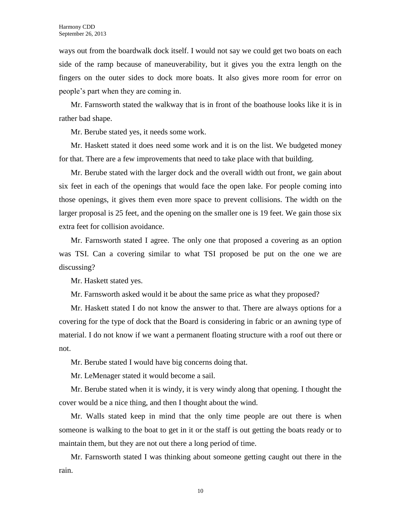ways out from the boardwalk dock itself. I would not say we could get two boats on each side of the ramp because of maneuverability, but it gives you the extra length on the fingers on the outer sides to dock more boats. It also gives more room for error on people's part when they are coming in.

Mr. Farnsworth stated the walkway that is in front of the boathouse looks like it is in rather bad shape.

Mr. Berube stated yes, it needs some work.

Mr. Haskett stated it does need some work and it is on the list. We budgeted money for that. There are a few improvements that need to take place with that building.

Mr. Berube stated with the larger dock and the overall width out front, we gain about six feet in each of the openings that would face the open lake. For people coming into those openings, it gives them even more space to prevent collisions. The width on the larger proposal is 25 feet, and the opening on the smaller one is 19 feet. We gain those six extra feet for collision avoidance.

Mr. Farnsworth stated I agree. The only one that proposed a covering as an option was TSI. Can a covering similar to what TSI proposed be put on the one we are discussing?

Mr. Haskett stated yes.

Mr. Farnsworth asked would it be about the same price as what they proposed?

Mr. Haskett stated I do not know the answer to that. There are always options for a covering for the type of dock that the Board is considering in fabric or an awning type of material. I do not know if we want a permanent floating structure with a roof out there or not.

Mr. Berube stated I would have big concerns doing that.

Mr. LeMenager stated it would become a sail.

Mr. Berube stated when it is windy, it is very windy along that opening. I thought the cover would be a nice thing, and then I thought about the wind.

Mr. Walls stated keep in mind that the only time people are out there is when someone is walking to the boat to get in it or the staff is out getting the boats ready or to maintain them, but they are not out there a long period of time.

Mr. Farnsworth stated I was thinking about someone getting caught out there in the rain.

10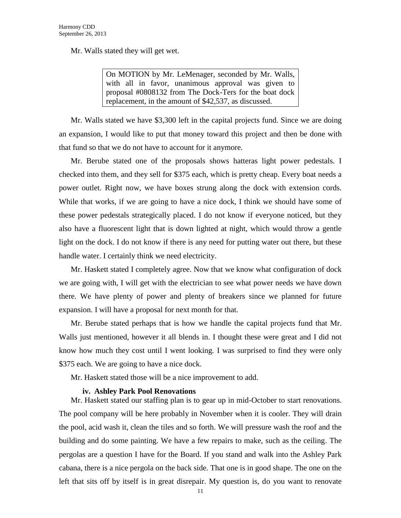Mr. Walls stated they will get wet.

On MOTION by Mr. LeMenager, seconded by Mr. Walls, with all in favor, unanimous approval was given to proposal #0808132 from The Dock-Ters for the boat dock replacement, in the amount of \$42,537, as discussed.

Mr. Walls stated we have \$3,300 left in the capital projects fund. Since we are doing an expansion, I would like to put that money toward this project and then be done with that fund so that we do not have to account for it anymore.

Mr. Berube stated one of the proposals shows hatteras light power pedestals. I checked into them, and they sell for \$375 each, which is pretty cheap. Every boat needs a power outlet. Right now, we have boxes strung along the dock with extension cords. While that works, if we are going to have a nice dock, I think we should have some of these power pedestals strategically placed. I do not know if everyone noticed, but they also have a fluorescent light that is down lighted at night, which would throw a gentle light on the dock. I do not know if there is any need for putting water out there, but these handle water. I certainly think we need electricity.

Mr. Haskett stated I completely agree. Now that we know what configuration of dock we are going with, I will get with the electrician to see what power needs we have down there. We have plenty of power and plenty of breakers since we planned for future expansion. I will have a proposal for next month for that.

Mr. Berube stated perhaps that is how we handle the capital projects fund that Mr. Walls just mentioned, however it all blends in. I thought these were great and I did not know how much they cost until I went looking. I was surprised to find they were only \$375 each. We are going to have a nice dock.

Mr. Haskett stated those will be a nice improvement to add.

# **iv. Ashley Park Pool Renovations**

Mr. Haskett stated our staffing plan is to gear up in mid-October to start renovations. The pool company will be here probably in November when it is cooler. They will drain the pool, acid wash it, clean the tiles and so forth. We will pressure wash the roof and the building and do some painting. We have a few repairs to make, such as the ceiling. The pergolas are a question I have for the Board. If you stand and walk into the Ashley Park cabana, there is a nice pergola on the back side. That one is in good shape. The one on the left that sits off by itself is in great disrepair. My question is, do you want to renovate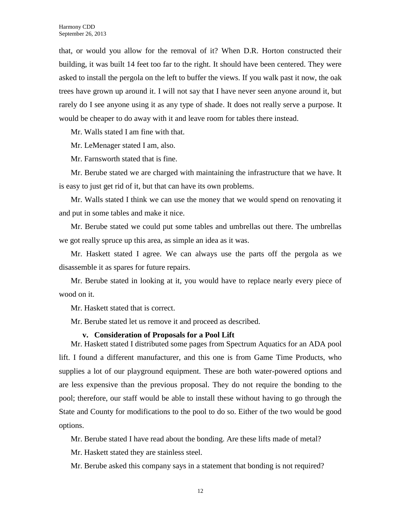that, or would you allow for the removal of it? When D.R. Horton constructed their building, it was built 14 feet too far to the right. It should have been centered. They were asked to install the pergola on the left to buffer the views. If you walk past it now, the oak trees have grown up around it. I will not say that I have never seen anyone around it, but rarely do I see anyone using it as any type of shade. It does not really serve a purpose. It would be cheaper to do away with it and leave room for tables there instead.

Mr. Walls stated I am fine with that.

Mr. LeMenager stated I am, also.

Mr. Farnsworth stated that is fine.

Mr. Berube stated we are charged with maintaining the infrastructure that we have. It is easy to just get rid of it, but that can have its own problems.

Mr. Walls stated I think we can use the money that we would spend on renovating it and put in some tables and make it nice.

Mr. Berube stated we could put some tables and umbrellas out there. The umbrellas we got really spruce up this area, as simple an idea as it was.

Mr. Haskett stated I agree. We can always use the parts off the pergola as we disassemble it as spares for future repairs.

Mr. Berube stated in looking at it, you would have to replace nearly every piece of wood on it.

Mr. Haskett stated that is correct.

Mr. Berube stated let us remove it and proceed as described.

### **v. Consideration of Proposals for a Pool Lift**

Mr. Haskett stated I distributed some pages from Spectrum Aquatics for an ADA pool lift. I found a different manufacturer, and this one is from Game Time Products, who supplies a lot of our playground equipment. These are both water-powered options and are less expensive than the previous proposal. They do not require the bonding to the pool; therefore, our staff would be able to install these without having to go through the State and County for modifications to the pool to do so. Either of the two would be good options.

Mr. Berube stated I have read about the bonding. Are these lifts made of metal?

Mr. Haskett stated they are stainless steel.

Mr. Berube asked this company says in a statement that bonding is not required?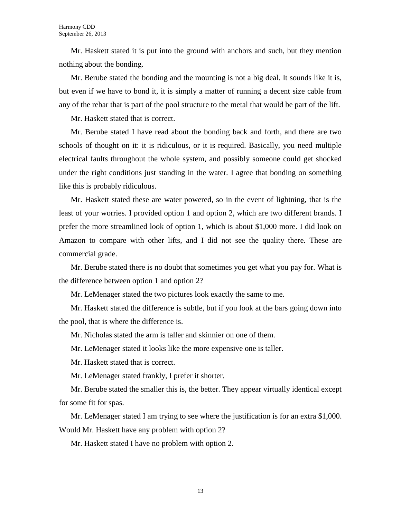Mr. Haskett stated it is put into the ground with anchors and such, but they mention nothing about the bonding.

Mr. Berube stated the bonding and the mounting is not a big deal. It sounds like it is, but even if we have to bond it, it is simply a matter of running a decent size cable from any of the rebar that is part of the pool structure to the metal that would be part of the lift.

Mr. Haskett stated that is correct.

Mr. Berube stated I have read about the bonding back and forth, and there are two schools of thought on it: it is ridiculous, or it is required. Basically, you need multiple electrical faults throughout the whole system, and possibly someone could get shocked under the right conditions just standing in the water. I agree that bonding on something like this is probably ridiculous.

Mr. Haskett stated these are water powered, so in the event of lightning, that is the least of your worries. I provided option 1 and option 2, which are two different brands. I prefer the more streamlined look of option 1, which is about \$1,000 more. I did look on Amazon to compare with other lifts, and I did not see the quality there. These are commercial grade.

Mr. Berube stated there is no doubt that sometimes you get what you pay for. What is the difference between option 1 and option 2?

Mr. LeMenager stated the two pictures look exactly the same to me.

Mr. Haskett stated the difference is subtle, but if you look at the bars going down into the pool, that is where the difference is.

Mr. Nicholas stated the arm is taller and skinnier on one of them.

Mr. LeMenager stated it looks like the more expensive one is taller.

Mr. Haskett stated that is correct.

Mr. LeMenager stated frankly, I prefer it shorter.

Mr. Berube stated the smaller this is, the better. They appear virtually identical except for some fit for spas.

Mr. LeMenager stated I am trying to see where the justification is for an extra \$1,000. Would Mr. Haskett have any problem with option 2?

Mr. Haskett stated I have no problem with option 2.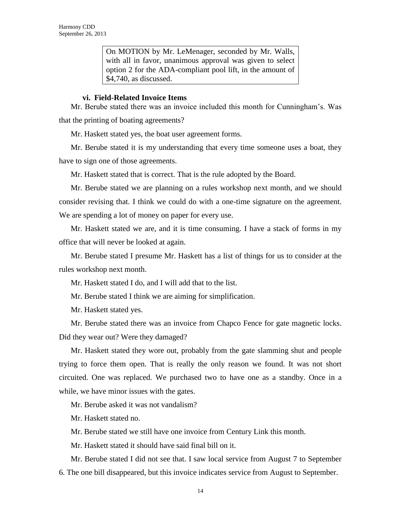On MOTION by Mr. LeMenager, seconded by Mr. Walls, with all in favor, unanimous approval was given to select option 2 for the ADA-compliant pool lift, in the amount of \$4,740, as discussed.

# **vi. Field-Related Invoice Items**

Mr. Berube stated there was an invoice included this month for Cunningham's. Was that the printing of boating agreements?

Mr. Haskett stated yes, the boat user agreement forms.

Mr. Berube stated it is my understanding that every time someone uses a boat, they have to sign one of those agreements.

Mr. Haskett stated that is correct. That is the rule adopted by the Board.

Mr. Berube stated we are planning on a rules workshop next month, and we should consider revising that. I think we could do with a one-time signature on the agreement. We are spending a lot of money on paper for every use.

Mr. Haskett stated we are, and it is time consuming. I have a stack of forms in my office that will never be looked at again.

Mr. Berube stated I presume Mr. Haskett has a list of things for us to consider at the rules workshop next month.

Mr. Haskett stated I do, and I will add that to the list.

Mr. Berube stated I think we are aiming for simplification.

Mr. Haskett stated yes.

Mr. Berube stated there was an invoice from Chapco Fence for gate magnetic locks. Did they wear out? Were they damaged?

Mr. Haskett stated they wore out, probably from the gate slamming shut and people trying to force them open. That is really the only reason we found. It was not short circuited. One was replaced. We purchased two to have one as a standby. Once in a while, we have minor issues with the gates.

Mr. Berube asked it was not vandalism?

Mr. Haskett stated no.

Mr. Berube stated we still have one invoice from Century Link this month.

Mr. Haskett stated it should have said final bill on it.

Mr. Berube stated I did not see that. I saw local service from August 7 to September 6. The one bill disappeared, but this invoice indicates service from August to September.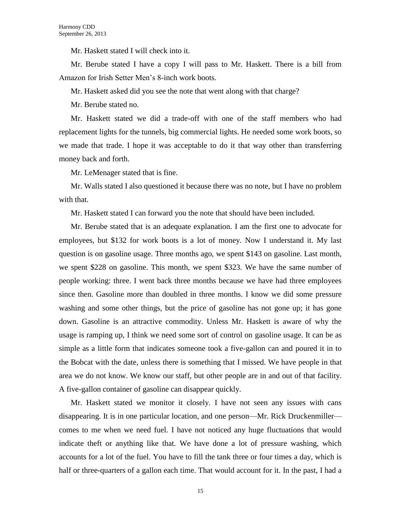Mr. Haskett stated I will check into it.

Mr. Berube stated I have a copy I will pass to Mr. Haskett. There is a bill from Amazon for Irish Setter Men's 8-inch work boots.

Mr. Haskett asked did you see the note that went along with that charge?

Mr. Berube stated no.

Mr. Haskett stated we did a trade-off with one of the staff members who had replacement lights for the tunnels, big commercial lights. He needed some work boots, so we made that trade. I hope it was acceptable to do it that way other than transferring money back and forth.

Mr. LeMenager stated that is fine.

Mr. Walls stated I also questioned it because there was no note, but I have no problem with that.

Mr. Haskett stated I can forward you the note that should have been included.

Mr. Berube stated that is an adequate explanation. I am the first one to advocate for employees, but \$132 for work boots is a lot of money. Now I understand it. My last question is on gasoline usage. Three months ago, we spent \$143 on gasoline. Last month, we spent \$228 on gasoline. This month, we spent \$323. We have the same number of people working: three. I went back three months because we have had three employees since then. Gasoline more than doubled in three months. I know we did some pressure washing and some other things, but the price of gasoline has not gone up; it has gone down. Gasoline is an attractive commodity. Unless Mr. Haskett is aware of why the usage is ramping up, I think we need some sort of control on gasoline usage. It can be as simple as a little form that indicates someone took a five-gallon can and poured it in to the Bobcat with the date, unless there is something that I missed. We have people in that area we do not know. We know our staff, but other people are in and out of that facility. A five-gallon container of gasoline can disappear quickly.

Mr. Haskett stated we monitor it closely. I have not seen any issues with cans disappearing. It is in one particular location, and one person—Mr. Rick Druckenmiller comes to me when we need fuel. I have not noticed any huge fluctuations that would indicate theft or anything like that. We have done a lot of pressure washing, which accounts for a lot of the fuel. You have to fill the tank three or four times a day, which is half or three-quarters of a gallon each time. That would account for it. In the past, I had a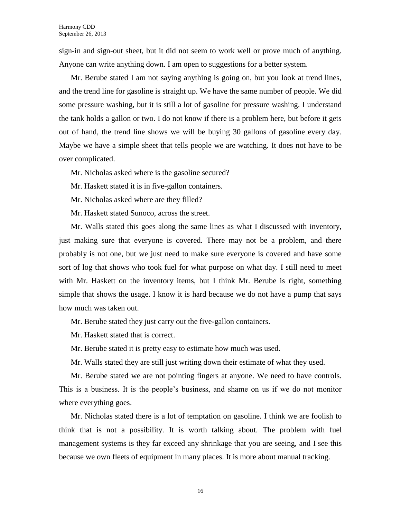sign-in and sign-out sheet, but it did not seem to work well or prove much of anything. Anyone can write anything down. I am open to suggestions for a better system.

Mr. Berube stated I am not saying anything is going on, but you look at trend lines, and the trend line for gasoline is straight up. We have the same number of people. We did some pressure washing, but it is still a lot of gasoline for pressure washing. I understand the tank holds a gallon or two. I do not know if there is a problem here, but before it gets out of hand, the trend line shows we will be buying 30 gallons of gasoline every day. Maybe we have a simple sheet that tells people we are watching. It does not have to be over complicated.

Mr. Nicholas asked where is the gasoline secured?

Mr. Haskett stated it is in five-gallon containers.

Mr. Nicholas asked where are they filled?

Mr. Haskett stated Sunoco, across the street.

Mr. Walls stated this goes along the same lines as what I discussed with inventory, just making sure that everyone is covered. There may not be a problem, and there probably is not one, but we just need to make sure everyone is covered and have some sort of log that shows who took fuel for what purpose on what day. I still need to meet with Mr. Haskett on the inventory items, but I think Mr. Berube is right, something simple that shows the usage. I know it is hard because we do not have a pump that says how much was taken out.

Mr. Berube stated they just carry out the five-gallon containers.

Mr. Haskett stated that is correct.

Mr. Berube stated it is pretty easy to estimate how much was used.

Mr. Walls stated they are still just writing down their estimate of what they used.

Mr. Berube stated we are not pointing fingers at anyone. We need to have controls. This is a business. It is the people's business, and shame on us if we do not monitor where everything goes.

Mr. Nicholas stated there is a lot of temptation on gasoline. I think we are foolish to think that is not a possibility. It is worth talking about. The problem with fuel management systems is they far exceed any shrinkage that you are seeing, and I see this because we own fleets of equipment in many places. It is more about manual tracking.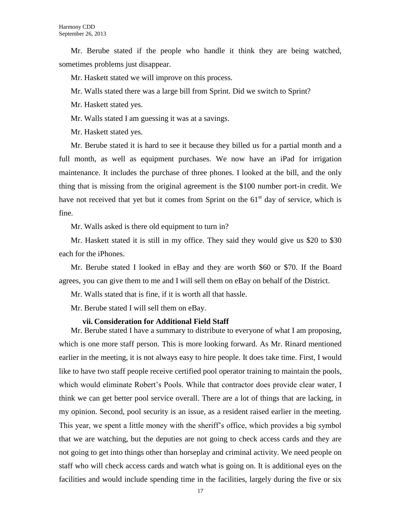Mr. Berube stated if the people who handle it think they are being watched, sometimes problems just disappear.

Mr. Haskett stated we will improve on this process.

Mr. Walls stated there was a large bill from Sprint. Did we switch to Sprint?

Mr. Haskett stated yes.

Mr. Walls stated I am guessing it was at a savings.

Mr. Haskett stated yes.

Mr. Berube stated it is hard to see it because they billed us for a partial month and a full month, as well as equipment purchases. We now have an iPad for irrigation maintenance. It includes the purchase of three phones. I looked at the bill, and the only thing that is missing from the original agreement is the \$100 number port-in credit. We have not received that yet but it comes from Sprint on the  $61<sup>st</sup>$  day of service, which is fine.

Mr. Walls asked is there old equipment to turn in?

Mr. Haskett stated it is still in my office. They said they would give us \$20 to \$30 each for the iPhones.

Mr. Berube stated I looked in eBay and they are worth \$60 or \$70. If the Board agrees, you can give them to me and I will sell them on eBay on behalf of the District.

Mr. Walls stated that is fine, if it is worth all that hassle.

Mr. Berube stated I will sell them on eBay.

# **vii. Consideration for Additional Field Staff**

Mr. Berube stated I have a summary to distribute to everyone of what I am proposing, which is one more staff person. This is more looking forward. As Mr. Rinard mentioned earlier in the meeting, it is not always easy to hire people. It does take time. First, I would like to have two staff people receive certified pool operator training to maintain the pools, which would eliminate Robert's Pools. While that contractor does provide clear water, I think we can get better pool service overall. There are a lot of things that are lacking, in my opinion. Second, pool security is an issue, as a resident raised earlier in the meeting. This year, we spent a little money with the sheriff's office, which provides a big symbol that we are watching, but the deputies are not going to check access cards and they are not going to get into things other than horseplay and criminal activity. We need people on staff who will check access cards and watch what is going on. It is additional eyes on the facilities and would include spending time in the facilities, largely during the five or six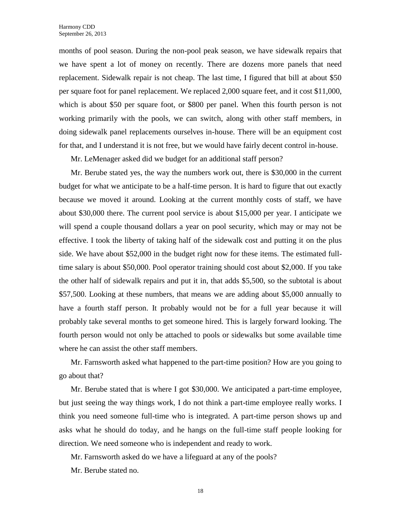months of pool season. During the non-pool peak season, we have sidewalk repairs that we have spent a lot of money on recently. There are dozens more panels that need replacement. Sidewalk repair is not cheap. The last time, I figured that bill at about \$50 per square foot for panel replacement. We replaced 2,000 square feet, and it cost \$11,000, which is about \$50 per square foot, or \$800 per panel. When this fourth person is not working primarily with the pools, we can switch, along with other staff members, in doing sidewalk panel replacements ourselves in-house. There will be an equipment cost for that, and I understand it is not free, but we would have fairly decent control in-house.

Mr. LeMenager asked did we budget for an additional staff person?

Mr. Berube stated yes, the way the numbers work out, there is \$30,000 in the current budget for what we anticipate to be a half-time person. It is hard to figure that out exactly because we moved it around. Looking at the current monthly costs of staff, we have about \$30,000 there. The current pool service is about \$15,000 per year. I anticipate we will spend a couple thousand dollars a year on pool security, which may or may not be effective. I took the liberty of taking half of the sidewalk cost and putting it on the plus side. We have about \$52,000 in the budget right now for these items. The estimated fulltime salary is about \$50,000. Pool operator training should cost about \$2,000. If you take the other half of sidewalk repairs and put it in, that adds \$5,500, so the subtotal is about \$57,500. Looking at these numbers, that means we are adding about \$5,000 annually to have a fourth staff person. It probably would not be for a full year because it will probably take several months to get someone hired. This is largely forward looking. The fourth person would not only be attached to pools or sidewalks but some available time where he can assist the other staff members.

Mr. Farnsworth asked what happened to the part-time position? How are you going to go about that?

Mr. Berube stated that is where I got \$30,000. We anticipated a part-time employee, but just seeing the way things work, I do not think a part-time employee really works. I think you need someone full-time who is integrated. A part-time person shows up and asks what he should do today, and he hangs on the full-time staff people looking for direction. We need someone who is independent and ready to work.

Mr. Farnsworth asked do we have a lifeguard at any of the pools?

Mr. Berube stated no.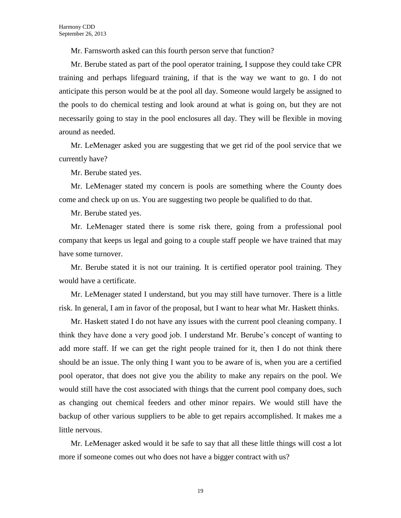Mr. Farnsworth asked can this fourth person serve that function?

Mr. Berube stated as part of the pool operator training, I suppose they could take CPR training and perhaps lifeguard training, if that is the way we want to go. I do not anticipate this person would be at the pool all day. Someone would largely be assigned to the pools to do chemical testing and look around at what is going on, but they are not necessarily going to stay in the pool enclosures all day. They will be flexible in moving around as needed.

Mr. LeMenager asked you are suggesting that we get rid of the pool service that we currently have?

Mr. Berube stated yes.

Mr. LeMenager stated my concern is pools are something where the County does come and check up on us. You are suggesting two people be qualified to do that.

Mr. Berube stated yes.

Mr. LeMenager stated there is some risk there, going from a professional pool company that keeps us legal and going to a couple staff people we have trained that may have some turnover.

Mr. Berube stated it is not our training. It is certified operator pool training. They would have a certificate.

Mr. LeMenager stated I understand, but you may still have turnover. There is a little risk. In general, I am in favor of the proposal, but I want to hear what Mr. Haskett thinks.

Mr. Haskett stated I do not have any issues with the current pool cleaning company. I think they have done a very good job. I understand Mr. Berube's concept of wanting to add more staff. If we can get the right people trained for it, then I do not think there should be an issue. The only thing I want you to be aware of is, when you are a certified pool operator, that does not give you the ability to make any repairs on the pool. We would still have the cost associated with things that the current pool company does, such as changing out chemical feeders and other minor repairs. We would still have the backup of other various suppliers to be able to get repairs accomplished. It makes me a little nervous.

Mr. LeMenager asked would it be safe to say that all these little things will cost a lot more if someone comes out who does not have a bigger contract with us?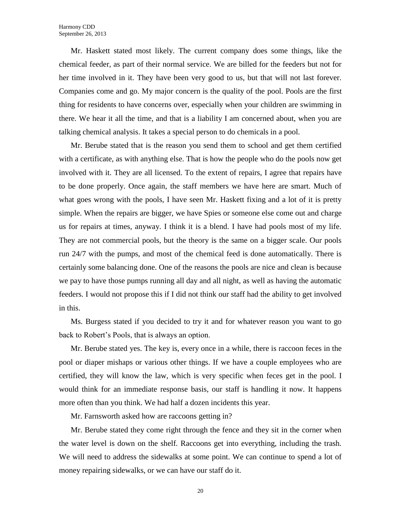Mr. Haskett stated most likely. The current company does some things, like the chemical feeder, as part of their normal service. We are billed for the feeders but not for her time involved in it. They have been very good to us, but that will not last forever. Companies come and go. My major concern is the quality of the pool. Pools are the first thing for residents to have concerns over, especially when your children are swimming in there. We hear it all the time, and that is a liability I am concerned about, when you are talking chemical analysis. It takes a special person to do chemicals in a pool.

Mr. Berube stated that is the reason you send them to school and get them certified with a certificate, as with anything else. That is how the people who do the pools now get involved with it. They are all licensed. To the extent of repairs, I agree that repairs have to be done properly. Once again, the staff members we have here are smart. Much of what goes wrong with the pools, I have seen Mr. Haskett fixing and a lot of it is pretty simple. When the repairs are bigger, we have Spies or someone else come out and charge us for repairs at times, anyway. I think it is a blend. I have had pools most of my life. They are not commercial pools, but the theory is the same on a bigger scale. Our pools run 24/7 with the pumps, and most of the chemical feed is done automatically. There is certainly some balancing done. One of the reasons the pools are nice and clean is because we pay to have those pumps running all day and all night, as well as having the automatic feeders. I would not propose this if I did not think our staff had the ability to get involved in this.

Ms. Burgess stated if you decided to try it and for whatever reason you want to go back to Robert's Pools, that is always an option.

Mr. Berube stated yes. The key is, every once in a while, there is raccoon feces in the pool or diaper mishaps or various other things. If we have a couple employees who are certified, they will know the law, which is very specific when feces get in the pool. I would think for an immediate response basis, our staff is handling it now. It happens more often than you think. We had half a dozen incidents this year.

Mr. Farnsworth asked how are raccoons getting in?

Mr. Berube stated they come right through the fence and they sit in the corner when the water level is down on the shelf. Raccoons get into everything, including the trash. We will need to address the sidewalks at some point. We can continue to spend a lot of money repairing sidewalks, or we can have our staff do it.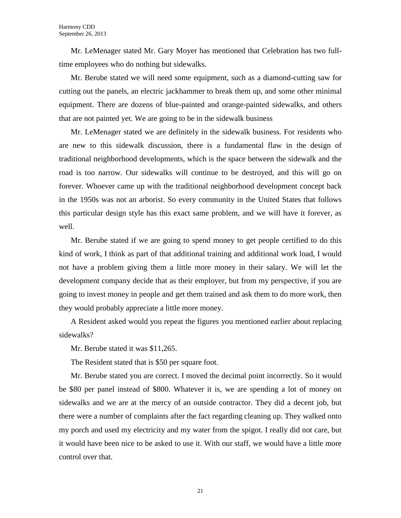Mr. LeMenager stated Mr. Gary Moyer has mentioned that Celebration has two fulltime employees who do nothing but sidewalks.

Mr. Berube stated we will need some equipment, such as a diamond-cutting saw for cutting out the panels, an electric jackhammer to break them up, and some other minimal equipment. There are dozens of blue-painted and orange-painted sidewalks, and others that are not painted yet. We are going to be in the sidewalk business

Mr. LeMenager stated we are definitely in the sidewalk business. For residents who are new to this sidewalk discussion, there is a fundamental flaw in the design of traditional neighborhood developments, which is the space between the sidewalk and the road is too narrow. Our sidewalks will continue to be destroyed, and this will go on forever. Whoever came up with the traditional neighborhood development concept back in the 1950s was not an arborist. So every community in the United States that follows this particular design style has this exact same problem, and we will have it forever, as well.

Mr. Berube stated if we are going to spend money to get people certified to do this kind of work, I think as part of that additional training and additional work load, I would not have a problem giving them a little more money in their salary. We will let the development company decide that as their employer, but from my perspective, if you are going to invest money in people and get them trained and ask them to do more work, then they would probably appreciate a little more money.

A Resident asked would you repeat the figures you mentioned earlier about replacing sidewalks?

Mr. Berube stated it was \$11,265.

The Resident stated that is \$50 per square foot.

Mr. Berube stated you are correct. I moved the decimal point incorrectly. So it would be \$80 per panel instead of \$800. Whatever it is, we are spending a lot of money on sidewalks and we are at the mercy of an outside contractor. They did a decent job, but there were a number of complaints after the fact regarding cleaning up. They walked onto my porch and used my electricity and my water from the spigot. I really did not care, but it would have been nice to be asked to use it. With our staff, we would have a little more control over that.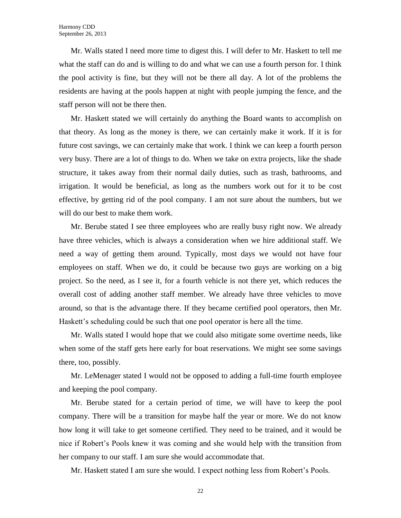Mr. Walls stated I need more time to digest this. I will defer to Mr. Haskett to tell me what the staff can do and is willing to do and what we can use a fourth person for. I think the pool activity is fine, but they will not be there all day. A lot of the problems the residents are having at the pools happen at night with people jumping the fence, and the staff person will not be there then.

Mr. Haskett stated we will certainly do anything the Board wants to accomplish on that theory. As long as the money is there, we can certainly make it work. If it is for future cost savings, we can certainly make that work. I think we can keep a fourth person very busy. There are a lot of things to do. When we take on extra projects, like the shade structure, it takes away from their normal daily duties, such as trash, bathrooms, and irrigation. It would be beneficial, as long as the numbers work out for it to be cost effective, by getting rid of the pool company. I am not sure about the numbers, but we will do our best to make them work.

Mr. Berube stated I see three employees who are really busy right now. We already have three vehicles, which is always a consideration when we hire additional staff. We need a way of getting them around. Typically, most days we would not have four employees on staff. When we do, it could be because two guys are working on a big project. So the need, as I see it, for a fourth vehicle is not there yet, which reduces the overall cost of adding another staff member. We already have three vehicles to move around, so that is the advantage there. If they became certified pool operators, then Mr. Haskett's scheduling could be such that one pool operator is here all the time.

Mr. Walls stated I would hope that we could also mitigate some overtime needs, like when some of the staff gets here early for boat reservations. We might see some savings there, too, possibly.

Mr. LeMenager stated I would not be opposed to adding a full-time fourth employee and keeping the pool company.

Mr. Berube stated for a certain period of time, we will have to keep the pool company. There will be a transition for maybe half the year or more. We do not know how long it will take to get someone certified. They need to be trained, and it would be nice if Robert's Pools knew it was coming and she would help with the transition from her company to our staff. I am sure she would accommodate that.

Mr. Haskett stated I am sure she would. I expect nothing less from Robert's Pools.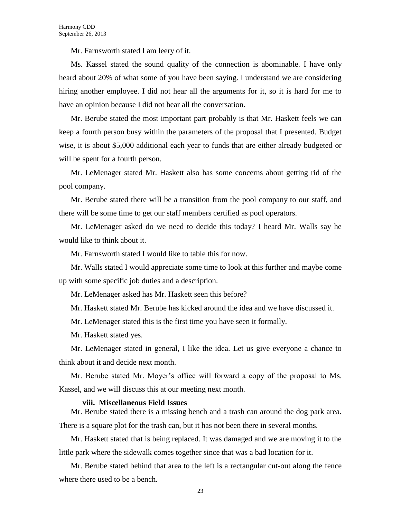Mr. Farnsworth stated I am leery of it.

Ms. Kassel stated the sound quality of the connection is abominable. I have only heard about 20% of what some of you have been saying. I understand we are considering hiring another employee. I did not hear all the arguments for it, so it is hard for me to have an opinion because I did not hear all the conversation.

Mr. Berube stated the most important part probably is that Mr. Haskett feels we can keep a fourth person busy within the parameters of the proposal that I presented. Budget wise, it is about \$5,000 additional each year to funds that are either already budgeted or will be spent for a fourth person.

Mr. LeMenager stated Mr. Haskett also has some concerns about getting rid of the pool company.

Mr. Berube stated there will be a transition from the pool company to our staff, and there will be some time to get our staff members certified as pool operators.

Mr. LeMenager asked do we need to decide this today? I heard Mr. Walls say he would like to think about it.

Mr. Farnsworth stated I would like to table this for now.

Mr. Walls stated I would appreciate some time to look at this further and maybe come up with some specific job duties and a description.

Mr. LeMenager asked has Mr. Haskett seen this before?

Mr. Haskett stated Mr. Berube has kicked around the idea and we have discussed it.

Mr. LeMenager stated this is the first time you have seen it formally.

Mr. Haskett stated yes.

Mr. LeMenager stated in general, I like the idea. Let us give everyone a chance to think about it and decide next month.

Mr. Berube stated Mr. Moyer's office will forward a copy of the proposal to Ms. Kassel, and we will discuss this at our meeting next month.

### **viii. Miscellaneous Field Issues**

Mr. Berube stated there is a missing bench and a trash can around the dog park area. There is a square plot for the trash can, but it has not been there in several months.

Mr. Haskett stated that is being replaced. It was damaged and we are moving it to the little park where the sidewalk comes together since that was a bad location for it.

Mr. Berube stated behind that area to the left is a rectangular cut-out along the fence where there used to be a bench.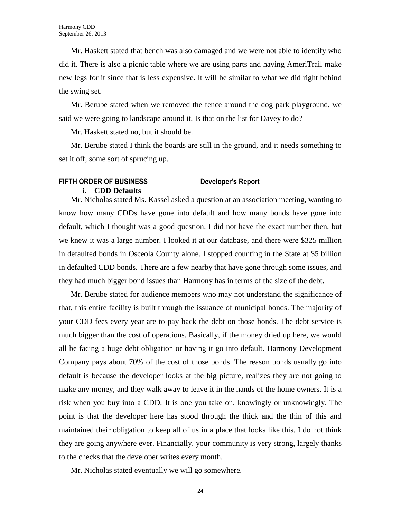Mr. Haskett stated that bench was also damaged and we were not able to identify who did it. There is also a picnic table where we are using parts and having AmeriTrail make new legs for it since that is less expensive. It will be similar to what we did right behind the swing set.

Mr. Berube stated when we removed the fence around the dog park playground, we said we were going to landscape around it. Is that on the list for Davey to do?

Mr. Haskett stated no, but it should be.

Mr. Berube stated I think the boards are still in the ground, and it needs something to set it off, some sort of sprucing up.

# **FIFTH ORDER OF BUSINESS Developer's Report i. CDD Defaults**

Mr. Nicholas stated Ms. Kassel asked a question at an association meeting, wanting to know how many CDDs have gone into default and how many bonds have gone into default, which I thought was a good question. I did not have the exact number then, but we knew it was a large number. I looked it at our database, and there were \$325 million in defaulted bonds in Osceola County alone. I stopped counting in the State at \$5 billion in defaulted CDD bonds. There are a few nearby that have gone through some issues, and they had much bigger bond issues than Harmony has in terms of the size of the debt.

Mr. Berube stated for audience members who may not understand the significance of that, this entire facility is built through the issuance of municipal bonds. The majority of your CDD fees every year are to pay back the debt on those bonds. The debt service is much bigger than the cost of operations. Basically, if the money dried up here, we would all be facing a huge debt obligation or having it go into default. Harmony Development Company pays about 70% of the cost of those bonds. The reason bonds usually go into default is because the developer looks at the big picture, realizes they are not going to make any money, and they walk away to leave it in the hands of the home owners. It is a risk when you buy into a CDD. It is one you take on, knowingly or unknowingly. The point is that the developer here has stood through the thick and the thin of this and maintained their obligation to keep all of us in a place that looks like this. I do not think they are going anywhere ever. Financially, your community is very strong, largely thanks to the checks that the developer writes every month.

Mr. Nicholas stated eventually we will go somewhere.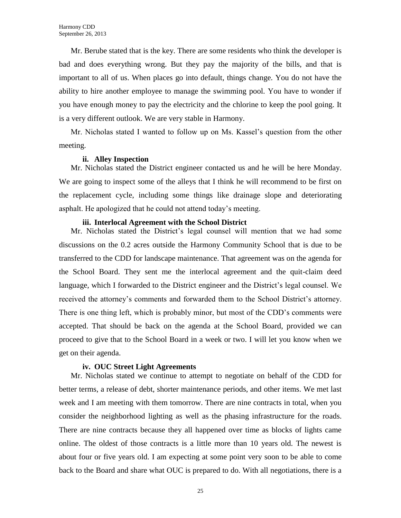Mr. Berube stated that is the key. There are some residents who think the developer is bad and does everything wrong. But they pay the majority of the bills, and that is important to all of us. When places go into default, things change. You do not have the ability to hire another employee to manage the swimming pool. You have to wonder if you have enough money to pay the electricity and the chlorine to keep the pool going. It is a very different outlook. We are very stable in Harmony.

Mr. Nicholas stated I wanted to follow up on Ms. Kassel's question from the other meeting.

# **ii. Alley Inspection**

Mr. Nicholas stated the District engineer contacted us and he will be here Monday. We are going to inspect some of the alleys that I think he will recommend to be first on the replacement cycle, including some things like drainage slope and deteriorating asphalt. He apologized that he could not attend today's meeting.

# **iii. Interlocal Agreement with the School District**

Mr. Nicholas stated the District's legal counsel will mention that we had some discussions on the 0.2 acres outside the Harmony Community School that is due to be transferred to the CDD for landscape maintenance. That agreement was on the agenda for the School Board. They sent me the interlocal agreement and the quit-claim deed language, which I forwarded to the District engineer and the District's legal counsel. We received the attorney's comments and forwarded them to the School District's attorney. There is one thing left, which is probably minor, but most of the CDD's comments were accepted. That should be back on the agenda at the School Board, provided we can proceed to give that to the School Board in a week or two. I will let you know when we get on their agenda.

# **iv. OUC Street Light Agreements**

Mr. Nicholas stated we continue to attempt to negotiate on behalf of the CDD for better terms, a release of debt, shorter maintenance periods, and other items. We met last week and I am meeting with them tomorrow. There are nine contracts in total, when you consider the neighborhood lighting as well as the phasing infrastructure for the roads. There are nine contracts because they all happened over time as blocks of lights came online. The oldest of those contracts is a little more than 10 years old. The newest is about four or five years old. I am expecting at some point very soon to be able to come back to the Board and share what OUC is prepared to do. With all negotiations, there is a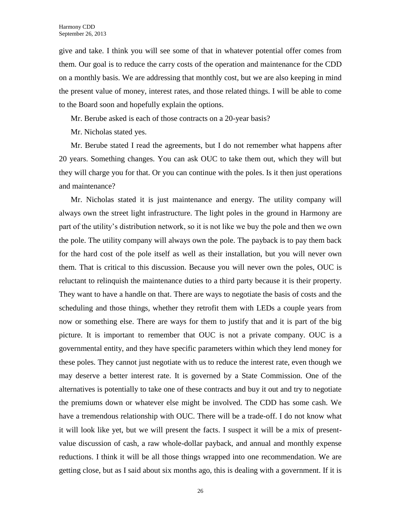give and take. I think you will see some of that in whatever potential offer comes from them. Our goal is to reduce the carry costs of the operation and maintenance for the CDD on a monthly basis. We are addressing that monthly cost, but we are also keeping in mind the present value of money, interest rates, and those related things. I will be able to come to the Board soon and hopefully explain the options.

Mr. Berube asked is each of those contracts on a 20-year basis?

Mr. Nicholas stated yes.

Mr. Berube stated I read the agreements, but I do not remember what happens after 20 years. Something changes. You can ask OUC to take them out, which they will but they will charge you for that. Or you can continue with the poles. Is it then just operations and maintenance?

Mr. Nicholas stated it is just maintenance and energy. The utility company will always own the street light infrastructure. The light poles in the ground in Harmony are part of the utility's distribution network, so it is not like we buy the pole and then we own the pole. The utility company will always own the pole. The payback is to pay them back for the hard cost of the pole itself as well as their installation, but you will never own them. That is critical to this discussion. Because you will never own the poles, OUC is reluctant to relinquish the maintenance duties to a third party because it is their property. They want to have a handle on that. There are ways to negotiate the basis of costs and the scheduling and those things, whether they retrofit them with LEDs a couple years from now or something else. There are ways for them to justify that and it is part of the big picture. It is important to remember that OUC is not a private company. OUC is a governmental entity, and they have specific parameters within which they lend money for these poles. They cannot just negotiate with us to reduce the interest rate, even though we may deserve a better interest rate. It is governed by a State Commission. One of the alternatives is potentially to take one of these contracts and buy it out and try to negotiate the premiums down or whatever else might be involved. The CDD has some cash. We have a tremendous relationship with OUC. There will be a trade-off. I do not know what it will look like yet, but we will present the facts. I suspect it will be a mix of presentvalue discussion of cash, a raw whole-dollar payback, and annual and monthly expense reductions. I think it will be all those things wrapped into one recommendation. We are getting close, but as I said about six months ago, this is dealing with a government. If it is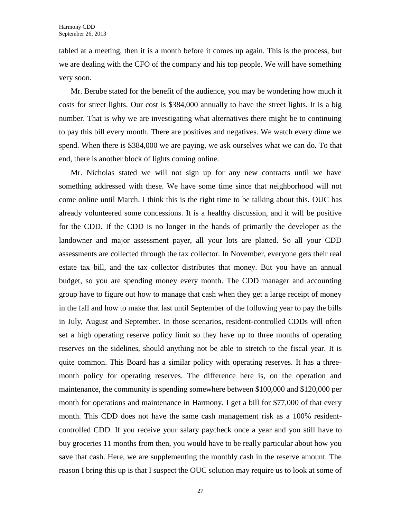tabled at a meeting, then it is a month before it comes up again. This is the process, but we are dealing with the CFO of the company and his top people. We will have something very soon.

Mr. Berube stated for the benefit of the audience, you may be wondering how much it costs for street lights. Our cost is \$384,000 annually to have the street lights. It is a big number. That is why we are investigating what alternatives there might be to continuing to pay this bill every month. There are positives and negatives. We watch every dime we spend. When there is \$384,000 we are paying, we ask ourselves what we can do. To that end, there is another block of lights coming online.

Mr. Nicholas stated we will not sign up for any new contracts until we have something addressed with these. We have some time since that neighborhood will not come online until March. I think this is the right time to be talking about this. OUC has already volunteered some concessions. It is a healthy discussion, and it will be positive for the CDD. If the CDD is no longer in the hands of primarily the developer as the landowner and major assessment payer, all your lots are platted. So all your CDD assessments are collected through the tax collector. In November, everyone gets their real estate tax bill, and the tax collector distributes that money. But you have an annual budget, so you are spending money every month. The CDD manager and accounting group have to figure out how to manage that cash when they get a large receipt of money in the fall and how to make that last until September of the following year to pay the bills in July, August and September. In those scenarios, resident-controlled CDDs will often set a high operating reserve policy limit so they have up to three months of operating reserves on the sidelines, should anything not be able to stretch to the fiscal year. It is quite common. This Board has a similar policy with operating reserves. It has a threemonth policy for operating reserves. The difference here is, on the operation and maintenance, the community is spending somewhere between \$100,000 and \$120,000 per month for operations and maintenance in Harmony. I get a bill for \$77,000 of that every month. This CDD does not have the same cash management risk as a 100% residentcontrolled CDD. If you receive your salary paycheck once a year and you still have to buy groceries 11 months from then, you would have to be really particular about how you save that cash. Here, we are supplementing the monthly cash in the reserve amount. The reason I bring this up is that I suspect the OUC solution may require us to look at some of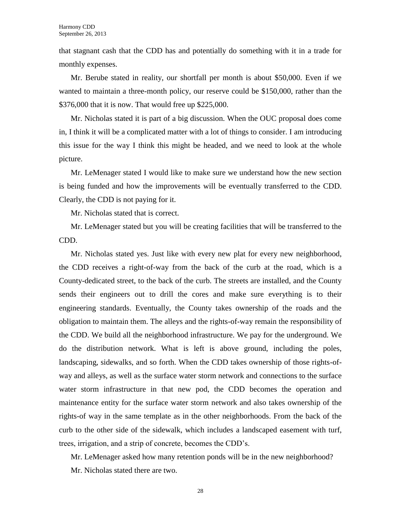that stagnant cash that the CDD has and potentially do something with it in a trade for monthly expenses.

Mr. Berube stated in reality, our shortfall per month is about \$50,000. Even if we wanted to maintain a three-month policy, our reserve could be \$150,000, rather than the \$376,000 that it is now. That would free up \$225,000.

Mr. Nicholas stated it is part of a big discussion. When the OUC proposal does come in, I think it will be a complicated matter with a lot of things to consider. I am introducing this issue for the way I think this might be headed, and we need to look at the whole picture.

Mr. LeMenager stated I would like to make sure we understand how the new section is being funded and how the improvements will be eventually transferred to the CDD. Clearly, the CDD is not paying for it.

Mr. Nicholas stated that is correct.

Mr. LeMenager stated but you will be creating facilities that will be transferred to the CDD.

Mr. Nicholas stated yes. Just like with every new plat for every new neighborhood, the CDD receives a right-of-way from the back of the curb at the road, which is a County-dedicated street, to the back of the curb. The streets are installed, and the County sends their engineers out to drill the cores and make sure everything is to their engineering standards. Eventually, the County takes ownership of the roads and the obligation to maintain them. The alleys and the rights-of-way remain the responsibility of the CDD. We build all the neighborhood infrastructure. We pay for the underground. We do the distribution network. What is left is above ground, including the poles, landscaping, sidewalks, and so forth. When the CDD takes ownership of those rights-ofway and alleys, as well as the surface water storm network and connections to the surface water storm infrastructure in that new pod, the CDD becomes the operation and maintenance entity for the surface water storm network and also takes ownership of the rights-of way in the same template as in the other neighborhoods. From the back of the curb to the other side of the sidewalk, which includes a landscaped easement with turf, trees, irrigation, and a strip of concrete, becomes the CDD's.

Mr. LeMenager asked how many retention ponds will be in the new neighborhood? Mr. Nicholas stated there are two.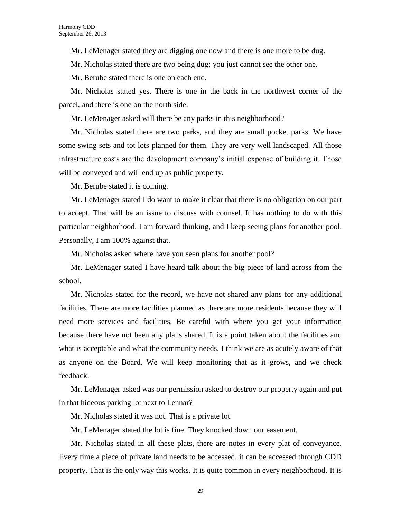Mr. LeMenager stated they are digging one now and there is one more to be dug.

Mr. Nicholas stated there are two being dug; you just cannot see the other one.

Mr. Berube stated there is one on each end.

Mr. Nicholas stated yes. There is one in the back in the northwest corner of the parcel, and there is one on the north side.

Mr. LeMenager asked will there be any parks in this neighborhood?

Mr. Nicholas stated there are two parks, and they are small pocket parks. We have some swing sets and tot lots planned for them. They are very well landscaped. All those infrastructure costs are the development company's initial expense of building it. Those will be conveyed and will end up as public property.

Mr. Berube stated it is coming.

Mr. LeMenager stated I do want to make it clear that there is no obligation on our part to accept. That will be an issue to discuss with counsel. It has nothing to do with this particular neighborhood. I am forward thinking, and I keep seeing plans for another pool. Personally, I am 100% against that.

Mr. Nicholas asked where have you seen plans for another pool?

Mr. LeMenager stated I have heard talk about the big piece of land across from the school.

Mr. Nicholas stated for the record, we have not shared any plans for any additional facilities. There are more facilities planned as there are more residents because they will need more services and facilities. Be careful with where you get your information because there have not been any plans shared. It is a point taken about the facilities and what is acceptable and what the community needs. I think we are as acutely aware of that as anyone on the Board. We will keep monitoring that as it grows, and we check feedback.

Mr. LeMenager asked was our permission asked to destroy our property again and put in that hideous parking lot next to Lennar?

Mr. Nicholas stated it was not. That is a private lot.

Mr. LeMenager stated the lot is fine. They knocked down our easement.

Mr. Nicholas stated in all these plats, there are notes in every plat of conveyance. Every time a piece of private land needs to be accessed, it can be accessed through CDD property. That is the only way this works. It is quite common in every neighborhood. It is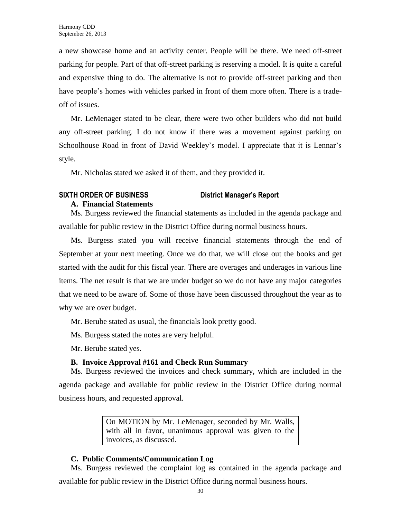a new showcase home and an activity center. People will be there. We need off-street parking for people. Part of that off-street parking is reserving a model. It is quite a careful and expensive thing to do. The alternative is not to provide off-street parking and then have people's homes with vehicles parked in front of them more often. There is a tradeoff of issues.

Mr. LeMenager stated to be clear, there were two other builders who did not build any off-street parking. I do not know if there was a movement against parking on Schoolhouse Road in front of David Weekley's model. I appreciate that it is Lennar's style.

Mr. Nicholas stated we asked it of them, and they provided it.

# **SIXTH ORDER OF BUSINESS District Manager's Report**

# **A. Financial Statements**

Ms. Burgess reviewed the financial statements as included in the agenda package and available for public review in the District Office during normal business hours.

Ms. Burgess stated you will receive financial statements through the end of September at your next meeting. Once we do that, we will close out the books and get started with the audit for this fiscal year. There are overages and underages in various line items. The net result is that we are under budget so we do not have any major categories that we need to be aware of. Some of those have been discussed throughout the year as to why we are over budget.

Mr. Berube stated as usual, the financials look pretty good.

Ms. Burgess stated the notes are very helpful.

Mr. Berube stated yes.

# **B. Invoice Approval #161 and Check Run Summary**

Ms. Burgess reviewed the invoices and check summary, which are included in the agenda package and available for public review in the District Office during normal business hours, and requested approval.

> On MOTION by Mr. LeMenager, seconded by Mr. Walls, with all in favor, unanimous approval was given to the invoices, as discussed.

# **C. Public Comments/Communication Log**

Ms. Burgess reviewed the complaint log as contained in the agenda package and

available for public review in the District Office during normal business hours.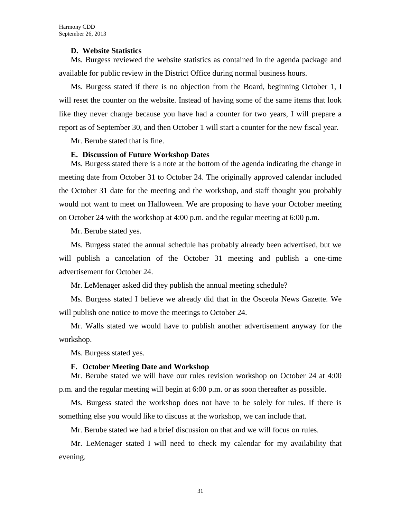# **D. Website Statistics**

Ms. Burgess reviewed the website statistics as contained in the agenda package and available for public review in the District Office during normal business hours.

Ms. Burgess stated if there is no objection from the Board, beginning October 1, I will reset the counter on the website. Instead of having some of the same items that look like they never change because you have had a counter for two years, I will prepare a report as of September 30, and then October 1 will start a counter for the new fiscal year.

Mr. Berube stated that is fine.

# **E. Discussion of Future Workshop Dates**

Ms. Burgess stated there is a note at the bottom of the agenda indicating the change in meeting date from October 31 to October 24. The originally approved calendar included the October 31 date for the meeting and the workshop, and staff thought you probably would not want to meet on Halloween. We are proposing to have your October meeting on October 24 with the workshop at 4:00 p.m. and the regular meeting at 6:00 p.m.

Mr. Berube stated yes.

Ms. Burgess stated the annual schedule has probably already been advertised, but we will publish a cancelation of the October 31 meeting and publish a one-time advertisement for October 24.

Mr. LeMenager asked did they publish the annual meeting schedule?

Ms. Burgess stated I believe we already did that in the Osceola News Gazette. We will publish one notice to move the meetings to October 24.

Mr. Walls stated we would have to publish another advertisement anyway for the workshop.

Ms. Burgess stated yes.

### **F. October Meeting Date and Workshop**

Mr. Berube stated we will have our rules revision workshop on October 24 at 4:00 p.m. and the regular meeting will begin at 6:00 p.m. or as soon thereafter as possible.

Ms. Burgess stated the workshop does not have to be solely for rules. If there is something else you would like to discuss at the workshop, we can include that.

Mr. Berube stated we had a brief discussion on that and we will focus on rules.

Mr. LeMenager stated I will need to check my calendar for my availability that evening.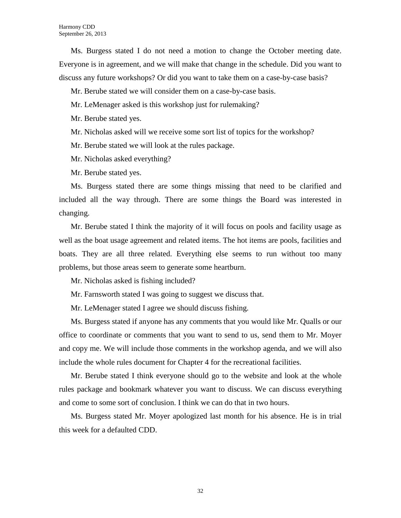Ms. Burgess stated I do not need a motion to change the October meeting date. Everyone is in agreement, and we will make that change in the schedule. Did you want to discuss any future workshops? Or did you want to take them on a case-by-case basis?

Mr. Berube stated we will consider them on a case-by-case basis.

Mr. LeMenager asked is this workshop just for rulemaking?

Mr. Berube stated yes.

Mr. Nicholas asked will we receive some sort list of topics for the workshop?

Mr. Berube stated we will look at the rules package.

Mr. Nicholas asked everything?

Mr. Berube stated yes.

Ms. Burgess stated there are some things missing that need to be clarified and included all the way through. There are some things the Board was interested in changing.

Mr. Berube stated I think the majority of it will focus on pools and facility usage as well as the boat usage agreement and related items. The hot items are pools, facilities and boats. They are all three related. Everything else seems to run without too many problems, but those areas seem to generate some heartburn.

Mr. Nicholas asked is fishing included?

Mr. Farnsworth stated I was going to suggest we discuss that.

Mr. LeMenager stated I agree we should discuss fishing.

Ms. Burgess stated if anyone has any comments that you would like Mr. Qualls or our office to coordinate or comments that you want to send to us, send them to Mr. Moyer and copy me. We will include those comments in the workshop agenda, and we will also include the whole rules document for Chapter 4 for the recreational facilities.

Mr. Berube stated I think everyone should go to the website and look at the whole rules package and bookmark whatever you want to discuss. We can discuss everything and come to some sort of conclusion. I think we can do that in two hours.

Ms. Burgess stated Mr. Moyer apologized last month for his absence. He is in trial this week for a defaulted CDD.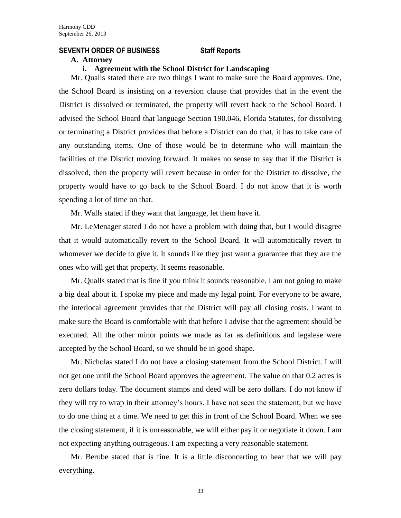# **SEVENTH ORDER OF BUSINESS Staff Reports**

### **A. Attorney**

# **i. Agreement with the School District for Landscaping**

Mr. Qualls stated there are two things I want to make sure the Board approves. One, the School Board is insisting on a reversion clause that provides that in the event the District is dissolved or terminated, the property will revert back to the School Board. I advised the School Board that language Section 190.046, Florida Statutes, for dissolving or terminating a District provides that before a District can do that, it has to take care of any outstanding items. One of those would be to determine who will maintain the facilities of the District moving forward. It makes no sense to say that if the District is dissolved, then the property will revert because in order for the District to dissolve, the property would have to go back to the School Board. I do not know that it is worth spending a lot of time on that.

Mr. Walls stated if they want that language, let them have it.

Mr. LeMenager stated I do not have a problem with doing that, but I would disagree that it would automatically revert to the School Board. It will automatically revert to whomever we decide to give it. It sounds like they just want a guarantee that they are the ones who will get that property. It seems reasonable.

Mr. Qualls stated that is fine if you think it sounds reasonable. I am not going to make a big deal about it. I spoke my piece and made my legal point. For everyone to be aware, the interlocal agreement provides that the District will pay all closing costs. I want to make sure the Board is comfortable with that before I advise that the agreement should be executed. All the other minor points we made as far as definitions and legalese were accepted by the School Board, so we should be in good shape.

Mr. Nicholas stated I do not have a closing statement from the School District. I will not get one until the School Board approves the agreement. The value on that 0.2 acres is zero dollars today. The document stamps and deed will be zero dollars. I do not know if they will try to wrap in their attorney's hours. I have not seen the statement, but we have to do one thing at a time. We need to get this in front of the School Board. When we see the closing statement, if it is unreasonable, we will either pay it or negotiate it down. I am not expecting anything outrageous. I am expecting a very reasonable statement.

Mr. Berube stated that is fine. It is a little disconcerting to hear that we will pay everything.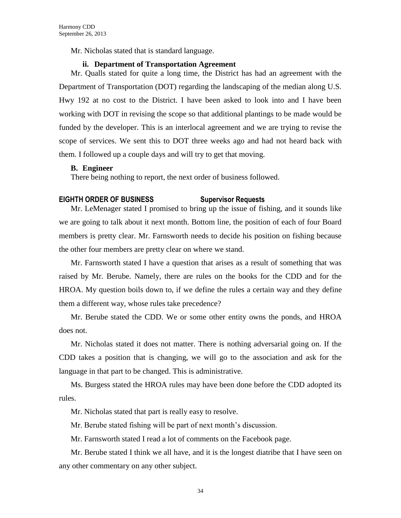Mr. Nicholas stated that is standard language.

# **ii. Department of Transportation Agreement**

Mr. Qualls stated for quite a long time, the District has had an agreement with the Department of Transportation (DOT) regarding the landscaping of the median along U.S. Hwy 192 at no cost to the District. I have been asked to look into and I have been working with DOT in revising the scope so that additional plantings to be made would be funded by the developer. This is an interlocal agreement and we are trying to revise the scope of services. We sent this to DOT three weeks ago and had not heard back with them. I followed up a couple days and will try to get that moving.

### **B. Engineer**

There being nothing to report, the next order of business followed.

# **EIGHTH ORDER OF BUSINESS Supervisor Requests**

Mr. LeMenager stated I promised to bring up the issue of fishing, and it sounds like we are going to talk about it next month. Bottom line, the position of each of four Board members is pretty clear. Mr. Farnsworth needs to decide his position on fishing because the other four members are pretty clear on where we stand.

Mr. Farnsworth stated I have a question that arises as a result of something that was raised by Mr. Berube. Namely, there are rules on the books for the CDD and for the HROA. My question boils down to, if we define the rules a certain way and they define them a different way, whose rules take precedence?

Mr. Berube stated the CDD. We or some other entity owns the ponds, and HROA does not.

Mr. Nicholas stated it does not matter. There is nothing adversarial going on. If the CDD takes a position that is changing, we will go to the association and ask for the language in that part to be changed. This is administrative.

Ms. Burgess stated the HROA rules may have been done before the CDD adopted its rules.

Mr. Nicholas stated that part is really easy to resolve.

Mr. Berube stated fishing will be part of next month's discussion.

Mr. Farnsworth stated I read a lot of comments on the Facebook page.

Mr. Berube stated I think we all have, and it is the longest diatribe that I have seen on any other commentary on any other subject.